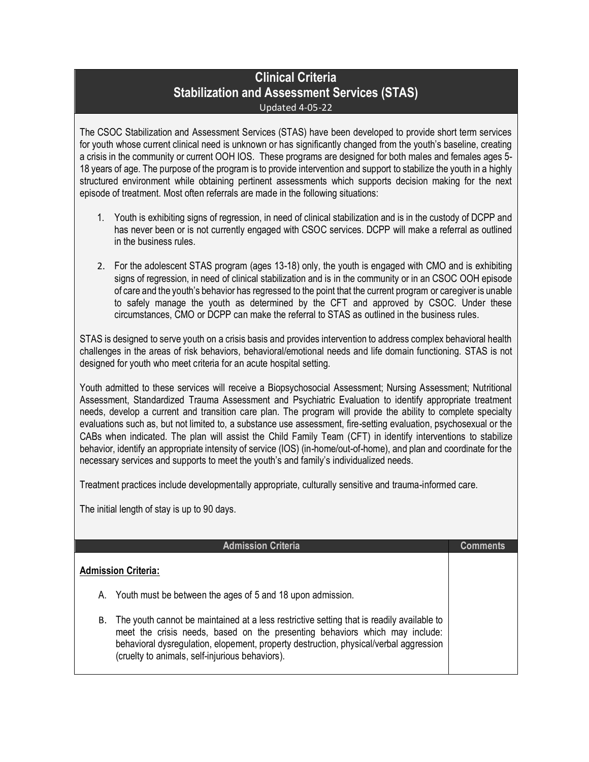## **Clinical Criteria Stabilization and Assessment Services (STAS)** Updated 4-05-22

The CSOC Stabilization and Assessment Services (STAS) have been developed to provide short term services for youth whose current clinical need is unknown or has significantly changed from the youth's baseline, creating a crisis in the community or current OOH IOS. These programs are designed for both males and females ages 5- 18 years of age. The purpose of the program is to provide intervention and support to stabilize the youth in a highly structured environment while obtaining pertinent assessments which supports decision making for the next episode of treatment. Most often referrals are made in the following situations:

- 1. Youth is exhibiting signs of regression, in need of clinical stabilization and is in the custody of DCPP and has never been or is not currently engaged with CSOC services. DCPP will make a referral as outlined in the business rules.
- 2. For the adolescent STAS program (ages 13-18) only, the youth is engaged with CMO and is exhibiting signs of regression, in need of clinical stabilization and is in the community or in an CSOC OOH episode of care and the youth's behavior has regressed to the point that the current program or caregiver is unable to safely manage the youth as determined by the CFT and approved by CSOC. Under these circumstances, CMO or DCPP can make the referral to STAS as outlined in the business rules.

STAS is designed to serve youth on a crisis basis and provides intervention to address complex behavioral health challenges in the areas of risk behaviors, behavioral/emotional needs and life domain functioning. STAS is not designed for youth who meet criteria for an acute hospital setting.

Youth admitted to these services will receive a Biopsychosocial Assessment; Nursing Assessment; Nutritional Assessment, Standardized Trauma Assessment and Psychiatric Evaluation to identify appropriate treatment needs, develop a current and transition care plan. The program will provide the ability to complete specialty evaluations such as, but not limited to, a substance use assessment, fire-setting evaluation, psychosexual or the CABs when indicated. The plan will assist the Child Family Team (CFT) in identify interventions to stabilize behavior, identify an appropriate intensity of service (IOS) (in-home/out-of-home), and plan and coordinate for the necessary services and supports to meet the youth's and family's individualized needs.

Treatment practices include developmentally appropriate, culturally sensitive and trauma-informed care.

The initial length of stay is up to 90 days.

|                            | <b>Admission Criteria</b>                                                                                                                                                                                                                                                                                            | Comments |
|----------------------------|----------------------------------------------------------------------------------------------------------------------------------------------------------------------------------------------------------------------------------------------------------------------------------------------------------------------|----------|
| <b>Admission Criteria:</b> |                                                                                                                                                                                                                                                                                                                      |          |
|                            | A. Youth must be between the ages of 5 and 18 upon admission.                                                                                                                                                                                                                                                        |          |
| В.                         | The youth cannot be maintained at a less restrictive setting that is readily available to<br>meet the crisis needs, based on the presenting behaviors which may include:<br>behavioral dysregulation, elopement, property destruction, physical/verbal aggression<br>(cruelty to animals, self-injurious behaviors). |          |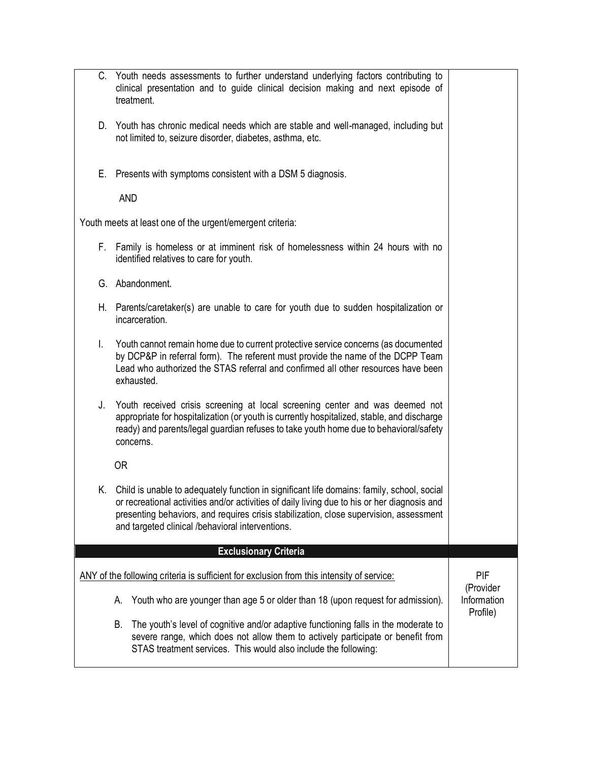| C.                                                                                               | Youth needs assessments to further understand underlying factors contributing to<br>clinical presentation and to guide clinical decision making and next episode of<br>treatment.                                                                                                                                                        |                                      |  |  |
|--------------------------------------------------------------------------------------------------|------------------------------------------------------------------------------------------------------------------------------------------------------------------------------------------------------------------------------------------------------------------------------------------------------------------------------------------|--------------------------------------|--|--|
|                                                                                                  | D. Youth has chronic medical needs which are stable and well-managed, including but<br>not limited to, seizure disorder, diabetes, asthma, etc.                                                                                                                                                                                          |                                      |  |  |
| Е.                                                                                               | Presents with symptoms consistent with a DSM 5 diagnosis.                                                                                                                                                                                                                                                                                |                                      |  |  |
|                                                                                                  | <b>AND</b>                                                                                                                                                                                                                                                                                                                               |                                      |  |  |
|                                                                                                  | Youth meets at least one of the urgent/emergent criteria:                                                                                                                                                                                                                                                                                |                                      |  |  |
|                                                                                                  | F. Family is homeless or at imminent risk of homelessness within 24 hours with no<br>identified relatives to care for youth.                                                                                                                                                                                                             |                                      |  |  |
|                                                                                                  | G. Abandonment.                                                                                                                                                                                                                                                                                                                          |                                      |  |  |
| H.,                                                                                              | Parents/caretaker(s) are unable to care for youth due to sudden hospitalization or<br>incarceration.                                                                                                                                                                                                                                     |                                      |  |  |
| I.                                                                                               | Youth cannot remain home due to current protective service concerns (as documented<br>by DCP&P in referral form). The referent must provide the name of the DCPP Team<br>Lead who authorized the STAS referral and confirmed all other resources have been<br>exhausted.                                                                 |                                      |  |  |
| J.                                                                                               | Youth received crisis screening at local screening center and was deemed not<br>appropriate for hospitalization (or youth is currently hospitalized, stable, and discharge<br>ready) and parents/legal guardian refuses to take youth home due to behavioral/safety<br>concerns.                                                         |                                      |  |  |
|                                                                                                  | 0R                                                                                                                                                                                                                                                                                                                                       |                                      |  |  |
| K. .                                                                                             | Child is unable to adequately function in significant life domains: family, school, social<br>or recreational activities and/or activities of daily living due to his or her diagnosis and<br>presenting behaviors, and requires crisis stabilization, close supervision, assessment<br>and targeted clinical /behavioral interventions. |                                      |  |  |
|                                                                                                  | <b>Exclusionary Criteria</b>                                                                                                                                                                                                                                                                                                             |                                      |  |  |
| PIF<br>ANY of the following criteria is sufficient for exclusion from this intensity of service: |                                                                                                                                                                                                                                                                                                                                          |                                      |  |  |
|                                                                                                  | Youth who are younger than age 5 or older than 18 (upon request for admission).<br>А.                                                                                                                                                                                                                                                    | (Provider<br>Information<br>Profile) |  |  |
|                                                                                                  | The youth's level of cognitive and/or adaptive functioning falls in the moderate to<br>В.<br>severe range, which does not allow them to actively participate or benefit from<br>STAS treatment services. This would also include the following:                                                                                          |                                      |  |  |